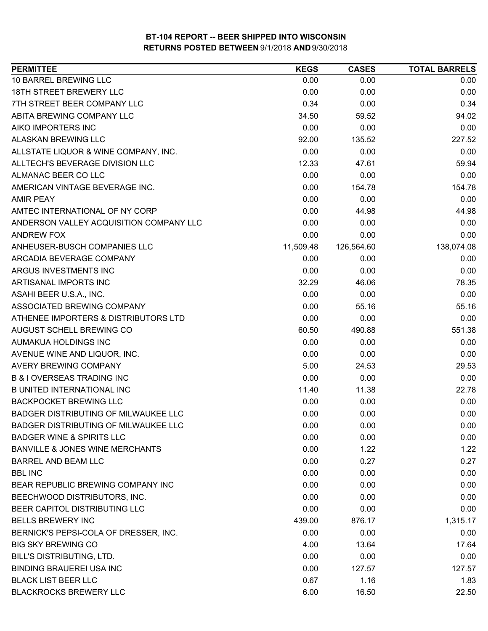| <b>PERMITTEE</b>                           | <b>KEGS</b> | <b>CASES</b> | <b>TOTAL BARRELS</b> |
|--------------------------------------------|-------------|--------------|----------------------|
| 10 BARREL BREWING LLC                      | 0.00        | 0.00         | 0.00                 |
| <b>18TH STREET BREWERY LLC</b>             | 0.00        | 0.00         | 0.00                 |
| 7TH STREET BEER COMPANY LLC                | 0.34        | 0.00         | 0.34                 |
| ABITA BREWING COMPANY LLC                  | 34.50       | 59.52        | 94.02                |
| AIKO IMPORTERS INC                         | 0.00        | 0.00         | 0.00                 |
| <b>ALASKAN BREWING LLC</b>                 | 92.00       | 135.52       | 227.52               |
| ALLSTATE LIQUOR & WINE COMPANY, INC.       | 0.00        | 0.00         | 0.00                 |
| ALLTECH'S BEVERAGE DIVISION LLC            | 12.33       | 47.61        | 59.94                |
| ALMANAC BEER CO LLC                        | 0.00        | 0.00         | 0.00                 |
| AMERICAN VINTAGE BEVERAGE INC.             | 0.00        | 154.78       | 154.78               |
| <b>AMIR PEAY</b>                           | 0.00        | 0.00         | 0.00                 |
| AMTEC INTERNATIONAL OF NY CORP             | 0.00        | 44.98        | 44.98                |
| ANDERSON VALLEY ACQUISITION COMPANY LLC    | 0.00        | 0.00         | 0.00                 |
| <b>ANDREW FOX</b>                          | 0.00        | 0.00         | 0.00                 |
| ANHEUSER-BUSCH COMPANIES LLC               | 11,509.48   | 126,564.60   | 138,074.08           |
| ARCADIA BEVERAGE COMPANY                   | 0.00        | 0.00         | 0.00                 |
| ARGUS INVESTMENTS INC                      | 0.00        | 0.00         | 0.00                 |
| ARTISANAL IMPORTS INC                      | 32.29       | 46.06        | 78.35                |
| ASAHI BEER U.S.A., INC.                    | 0.00        | 0.00         | 0.00                 |
| ASSOCIATED BREWING COMPANY                 | 0.00        | 55.16        | 55.16                |
| ATHENEE IMPORTERS & DISTRIBUTORS LTD       | 0.00        | 0.00         | 0.00                 |
| AUGUST SCHELL BREWING CO                   | 60.50       | 490.88       | 551.38               |
| AUMAKUA HOLDINGS INC                       | 0.00        | 0.00         | 0.00                 |
| AVENUE WINE AND LIQUOR, INC.               | 0.00        | 0.00         | 0.00                 |
| <b>AVERY BREWING COMPANY</b>               | 5.00        | 24.53        | 29.53                |
| <b>B &amp; I OVERSEAS TRADING INC</b>      | 0.00        | 0.00         | 0.00                 |
| <b>B UNITED INTERNATIONAL INC</b>          | 11.40       | 11.38        | 22.78                |
| <b>BACKPOCKET BREWING LLC</b>              | 0.00        | 0.00         | 0.00                 |
| BADGER DISTRIBUTING OF MILWAUKEE LLC       | 0.00        | 0.00         | 0.00                 |
| BADGER DISTRIBUTING OF MILWAUKEE LLC       | 0.00        | 0.00         | 0.00                 |
| <b>BADGER WINE &amp; SPIRITS LLC</b>       | 0.00        | 0.00         | 0.00                 |
| <b>BANVILLE &amp; JONES WINE MERCHANTS</b> | 0.00        | 1.22         | 1.22                 |
| <b>BARREL AND BEAM LLC</b>                 | 0.00        | 0.27         | 0.27                 |
| <b>BBL INC</b>                             | 0.00        | 0.00         | 0.00                 |
| BEAR REPUBLIC BREWING COMPANY INC          | 0.00        | 0.00         | 0.00                 |
| BEECHWOOD DISTRIBUTORS, INC.               | 0.00        | 0.00         | 0.00                 |
| BEER CAPITOL DISTRIBUTING LLC              | 0.00        | 0.00         | 0.00                 |
| <b>BELLS BREWERY INC</b>                   | 439.00      | 876.17       | 1,315.17             |
| BERNICK'S PEPSI-COLA OF DRESSER, INC.      | 0.00        | 0.00         | 0.00                 |
| <b>BIG SKY BREWING CO</b>                  | 4.00        | 13.64        | 17.64                |
| BILL'S DISTRIBUTING, LTD.                  | 0.00        | 0.00         | 0.00                 |
| <b>BINDING BRAUEREI USA INC</b>            | 0.00        | 127.57       | 127.57               |
| <b>BLACK LIST BEER LLC</b>                 | 0.67        | 1.16         | 1.83                 |
| <b>BLACKROCKS BREWERY LLC</b>              | 6.00        | 16.50        | 22.50                |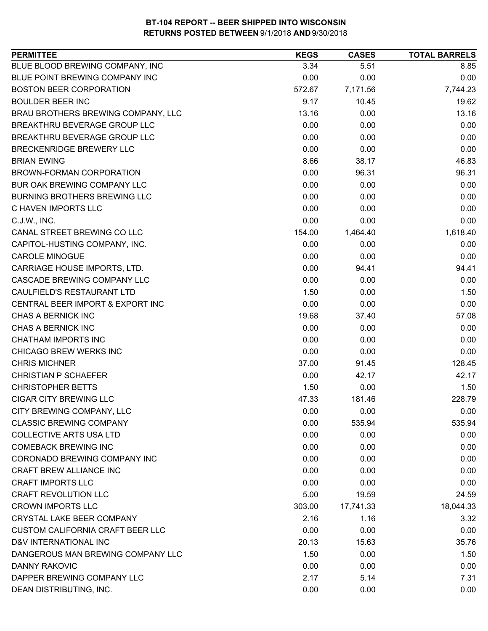| <b>PERMITTEE</b>                        | <b>KEGS</b> | <b>CASES</b> | <b>TOTAL BARRELS</b> |
|-----------------------------------------|-------------|--------------|----------------------|
| BLUE BLOOD BREWING COMPANY, INC         | 3.34        | 5.51         | 8.85                 |
| BLUE POINT BREWING COMPANY INC          | 0.00        | 0.00         | 0.00                 |
| <b>BOSTON BEER CORPORATION</b>          | 572.67      | 7,171.56     | 7,744.23             |
| <b>BOULDER BEER INC</b>                 | 9.17        | 10.45        | 19.62                |
| BRAU BROTHERS BREWING COMPANY, LLC      | 13.16       | 0.00         | 13.16                |
| BREAKTHRU BEVERAGE GROUP LLC            | 0.00        | 0.00         | 0.00                 |
| BREAKTHRU BEVERAGE GROUP LLC            | 0.00        | 0.00         | 0.00                 |
| BRECKENRIDGE BREWERY LLC                | 0.00        | 0.00         | 0.00                 |
| <b>BRIAN EWING</b>                      | 8.66        | 38.17        | 46.83                |
| BROWN-FORMAN CORPORATION                | 0.00        | 96.31        | 96.31                |
| BUR OAK BREWING COMPANY LLC             | 0.00        | 0.00         | 0.00                 |
| <b>BURNING BROTHERS BREWING LLC</b>     | 0.00        | 0.00         | 0.00                 |
| C HAVEN IMPORTS LLC                     | 0.00        | 0.00         | 0.00                 |
| C.J.W., INC.                            | 0.00        | 0.00         | 0.00                 |
| CANAL STREET BREWING CO LLC             | 154.00      | 1,464.40     | 1,618.40             |
| CAPITOL-HUSTING COMPANY, INC.           | 0.00        | 0.00         | 0.00                 |
| <b>CAROLE MINOGUE</b>                   | 0.00        | 0.00         | 0.00                 |
| CARRIAGE HOUSE IMPORTS, LTD.            | 0.00        | 94.41        | 94.41                |
| CASCADE BREWING COMPANY LLC             | 0.00        | 0.00         | 0.00                 |
| CAULFIELD'S RESTAURANT LTD              | 1.50        | 0.00         | 1.50                 |
| CENTRAL BEER IMPORT & EXPORT INC        | 0.00        | 0.00         | 0.00                 |
| CHAS A BERNICK INC                      | 19.68       | 37.40        | 57.08                |
| CHAS A BERNICK INC                      | 0.00        | 0.00         | 0.00                 |
| <b>CHATHAM IMPORTS INC</b>              | 0.00        | 0.00         | 0.00                 |
| CHICAGO BREW WERKS INC                  | 0.00        | 0.00         | 0.00                 |
| <b>CHRIS MICHNER</b>                    | 37.00       | 91.45        | 128.45               |
| <b>CHRISTIAN P SCHAEFER</b>             | 0.00        | 42.17        | 42.17                |
| <b>CHRISTOPHER BETTS</b>                | 1.50        | 0.00         | 1.50                 |
| <b>CIGAR CITY BREWING LLC</b>           | 47.33       | 181.46       | 228.79               |
| CITY BREWING COMPANY, LLC               | 0.00        | 0.00         | 0.00                 |
| <b>CLASSIC BREWING COMPANY</b>          | 0.00        | 535.94       | 535.94               |
| <b>COLLECTIVE ARTS USA LTD</b>          | 0.00        | 0.00         | 0.00                 |
| <b>COMEBACK BREWING INC</b>             | 0.00        | 0.00         | 0.00                 |
| CORONADO BREWING COMPANY INC            | 0.00        | 0.00         | 0.00                 |
| CRAFT BREW ALLIANCE INC                 | 0.00        | 0.00         | 0.00                 |
| <b>CRAFT IMPORTS LLC</b>                | 0.00        | 0.00         | 0.00                 |
| <b>CRAFT REVOLUTION LLC</b>             | 5.00        | 19.59        | 24.59                |
| <b>CROWN IMPORTS LLC</b>                | 303.00      | 17,741.33    | 18,044.33            |
| <b>CRYSTAL LAKE BEER COMPANY</b>        | 2.16        | 1.16         | 3.32                 |
| <b>CUSTOM CALIFORNIA CRAFT BEER LLC</b> | 0.00        | 0.00         | 0.00                 |
| D&V INTERNATIONAL INC                   | 20.13       | 15.63        | 35.76                |
| DANGEROUS MAN BREWING COMPANY LLC       | 1.50        | 0.00         | 1.50                 |
| <b>DANNY RAKOVIC</b>                    | 0.00        | 0.00         | 0.00                 |
| DAPPER BREWING COMPANY LLC              | 2.17        | 5.14         | 7.31                 |
| DEAN DISTRIBUTING, INC.                 | 0.00        | 0.00         | 0.00                 |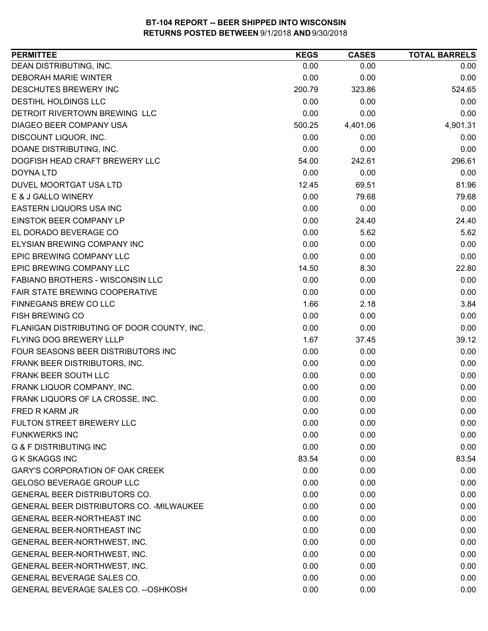| <b>PERMITTEE</b>                           | <b>KEGS</b> | <b>CASES</b> | <b>TOTAL BARRELS</b> |
|--------------------------------------------|-------------|--------------|----------------------|
| DEAN DISTRIBUTING, INC.                    | 0.00        | 0.00         | 0.00                 |
| <b>DEBORAH MARIE WINTER</b>                | 0.00        | 0.00         | 0.00                 |
| DESCHUTES BREWERY INC                      | 200.79      | 323.86       | 524.65               |
| DESTIHL HOLDINGS LLC                       | 0.00        | 0.00         | 0.00                 |
| DETROIT RIVERTOWN BREWING LLC              | 0.00        | 0.00         | 0.00                 |
| DIAGEO BEER COMPANY USA                    | 500.25      | 4,401.06     | 4,901.31             |
| DISCOUNT LIQUOR, INC.                      | 0.00        | 0.00         | 0.00                 |
| DOANE DISTRIBUTING, INC.                   | 0.00        | 0.00         | 0.00                 |
| DOGFISH HEAD CRAFT BREWERY LLC             | 54.00       | 242.61       | 296.61               |
| <b>DOYNA LTD</b>                           | 0.00        | 0.00         | 0.00                 |
| DUVEL MOORTGAT USA LTD                     | 12.45       | 69.51        | 81.96                |
| E & J GALLO WINERY                         | 0.00        | 79.68        | 79.68                |
| EASTERN LIQUORS USA INC                    | 0.00        | 0.00         | 0.00                 |
| EINSTOK BEER COMPANY LP                    | 0.00        | 24.40        | 24.40                |
| EL DORADO BEVERAGE CO                      | 0.00        | 5.62         | 5.62                 |
| ELYSIAN BREWING COMPANY INC                | 0.00        | 0.00         | 0.00                 |
| EPIC BREWING COMPANY LLC                   | 0.00        | 0.00         | 0.00                 |
| EPIC BREWING COMPANY LLC                   | 14.50       | 8.30         | 22.80                |
| FABIANO BROTHERS - WISCONSIN LLC           | 0.00        | 0.00         | 0.00                 |
| FAIR STATE BREWING COOPERATIVE             | 0.00        | 0.00         | 0.00                 |
| FINNEGANS BREW CO LLC                      | 1.66        | 2.18         | 3.84                 |
| <b>FISH BREWING CO</b>                     | 0.00        | 0.00         | 0.00                 |
| FLANIGAN DISTRIBUTING OF DOOR COUNTY, INC. | 0.00        | 0.00         | 0.00                 |
| FLYING DOG BREWERY LLLP                    | 1.67        | 37.45        | 39.12                |
| FOUR SEASONS BEER DISTRIBUTORS INC         | 0.00        | 0.00         | 0.00                 |
| FRANK BEER DISTRIBUTORS, INC.              | 0.00        | 0.00         | 0.00                 |
| FRANK BEER SOUTH LLC                       | 0.00        | 0.00         | 0.00                 |
| FRANK LIQUOR COMPANY, INC.                 | 0.00        | 0.00         | 0.00                 |
| FRANK LIQUORS OF LA CROSSE, INC.           | 0.00        | 0.00         | 0.00                 |
| FRED R KARM JR                             | 0.00        | 0.00         | 0.00                 |
| FULTON STREET BREWERY LLC                  | 0.00        | 0.00         | 0.00                 |
| <b>FUNKWERKS INC</b>                       | 0.00        | 0.00         | 0.00                 |
| <b>G &amp; F DISTRIBUTING INC</b>          | 0.00        | 0.00         | 0.00                 |
| <b>G K SKAGGS INC</b>                      | 83.54       | 0.00         | 83.54                |
| GARY'S CORPORATION OF OAK CREEK            | 0.00        | 0.00         | 0.00                 |
| <b>GELOSO BEVERAGE GROUP LLC</b>           | 0.00        | 0.00         | 0.00                 |
| GENERAL BEER DISTRIBUTORS CO.              | 0.00        | 0.00         | 0.00                 |
| GENERAL BEER DISTRIBUTORS CO. - MILWAUKEE  | 0.00        | 0.00         | 0.00                 |
| <b>GENERAL BEER-NORTHEAST INC</b>          | 0.00        | 0.00         | 0.00                 |
| GENERAL BEER-NORTHEAST INC                 | 0.00        | 0.00         | 0.00                 |
| GENERAL BEER-NORTHWEST, INC.               | 0.00        | 0.00         | 0.00                 |
| GENERAL BEER-NORTHWEST, INC.               | 0.00        | 0.00         | 0.00                 |
| GENERAL BEER-NORTHWEST, INC.               | 0.00        | 0.00         | 0.00                 |
| GENERAL BEVERAGE SALES CO.                 | 0.00        | 0.00         | 0.00                 |
| GENERAL BEVERAGE SALES CO. -- OSHKOSH      | 0.00        | 0.00         | 0.00                 |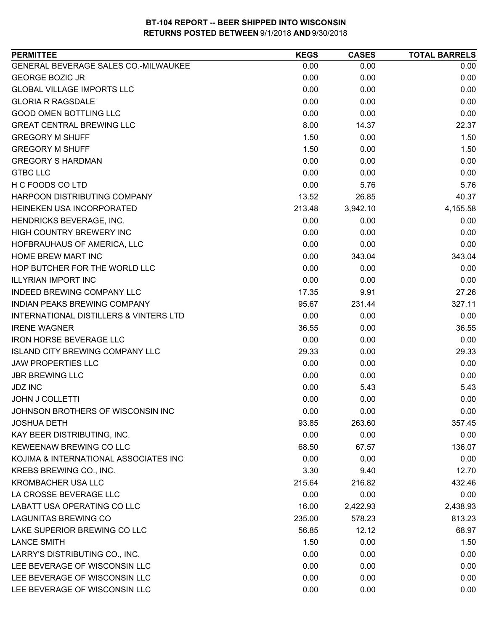| <b>PERMITTEE</b>                                  | <b>KEGS</b> | <b>CASES</b> | <b>TOTAL BARRELS</b> |
|---------------------------------------------------|-------------|--------------|----------------------|
| GENERAL BEVERAGE SALES CO.-MILWAUKEE              | 0.00        | 0.00         | 0.00                 |
| <b>GEORGE BOZIC JR</b>                            | 0.00        | 0.00         | 0.00                 |
| <b>GLOBAL VILLAGE IMPORTS LLC</b>                 | 0.00        | 0.00         | 0.00                 |
| <b>GLORIA R RAGSDALE</b>                          | 0.00        | 0.00         | 0.00                 |
| <b>GOOD OMEN BOTTLING LLC</b>                     | 0.00        | 0.00         | 0.00                 |
| <b>GREAT CENTRAL BREWING LLC</b>                  | 8.00        | 14.37        | 22.37                |
| <b>GREGORY M SHUFF</b>                            | 1.50        | 0.00         | 1.50                 |
| <b>GREGORY M SHUFF</b>                            | 1.50        | 0.00         | 1.50                 |
| <b>GREGORY S HARDMAN</b>                          | 0.00        | 0.00         | 0.00                 |
| <b>GTBC LLC</b>                                   | 0.00        | 0.00         | 0.00                 |
| H C FOODS CO LTD                                  | 0.00        | 5.76         | 5.76                 |
| HARPOON DISTRIBUTING COMPANY                      | 13.52       | 26.85        | 40.37                |
| HEINEKEN USA INCORPORATED                         | 213.48      | 3,942.10     | 4,155.58             |
| HENDRICKS BEVERAGE, INC.                          | 0.00        | 0.00         | 0.00                 |
| HIGH COUNTRY BREWERY INC                          | 0.00        | 0.00         | 0.00                 |
| HOFBRAUHAUS OF AMERICA, LLC                       | 0.00        | 0.00         | 0.00                 |
| HOME BREW MART INC                                | 0.00        | 343.04       | 343.04               |
| HOP BUTCHER FOR THE WORLD LLC                     | 0.00        | 0.00         | 0.00                 |
| <b>ILLYRIAN IMPORT INC</b>                        | 0.00        | 0.00         | 0.00                 |
| INDEED BREWING COMPANY LLC                        | 17.35       | 9.91         | 27.26                |
| INDIAN PEAKS BREWING COMPANY                      | 95.67       | 231.44       | 327.11               |
| <b>INTERNATIONAL DISTILLERS &amp; VINTERS LTD</b> | 0.00        | 0.00         | 0.00                 |
| <b>IRENE WAGNER</b>                               | 36.55       | 0.00         | 36.55                |
| <b>IRON HORSE BEVERAGE LLC</b>                    | 0.00        | 0.00         | 0.00                 |
| <b>ISLAND CITY BREWING COMPANY LLC</b>            | 29.33       | 0.00         | 29.33                |
| <b>JAW PROPERTIES LLC</b>                         | 0.00        | 0.00         | 0.00                 |
| <b>JBR BREWING LLC</b>                            | 0.00        | 0.00         | 0.00                 |
| <b>JDZ INC</b>                                    | 0.00        | 5.43         | 5.43                 |
| <b>JOHN J COLLETTI</b>                            | 0.00        | 0.00         | 0.00                 |
| JOHNSON BROTHERS OF WISCONSIN INC                 | 0.00        | 0.00         | 0.00                 |
| <b>JOSHUA DETH</b>                                | 93.85       | 263.60       | 357.45               |
| KAY BEER DISTRIBUTING, INC.                       | 0.00        | 0.00         | 0.00                 |
| KEWEENAW BREWING CO LLC                           | 68.50       | 67.57        | 136.07               |
| KOJIMA & INTERNATIONAL ASSOCIATES INC             | 0.00        | 0.00         | 0.00                 |
| KREBS BREWING CO., INC.                           | 3.30        | 9.40         | 12.70                |
| <b>KROMBACHER USA LLC</b>                         | 215.64      | 216.82       | 432.46               |
| LA CROSSE BEVERAGE LLC                            | 0.00        | 0.00         | 0.00                 |
| LABATT USA OPERATING CO LLC                       | 16.00       | 2,422.93     | 2,438.93             |
| <b>LAGUNITAS BREWING CO</b>                       | 235.00      | 578.23       | 813.23               |
| LAKE SUPERIOR BREWING CO LLC                      | 56.85       | 12.12        | 68.97                |
| <b>LANCE SMITH</b>                                | 1.50        | 0.00         | 1.50                 |
| LARRY'S DISTRIBUTING CO., INC.                    | 0.00        | 0.00         | 0.00                 |
| LEE BEVERAGE OF WISCONSIN LLC                     | 0.00        | 0.00         | 0.00                 |
| LEE BEVERAGE OF WISCONSIN LLC                     | 0.00        | 0.00         | 0.00                 |
| LEE BEVERAGE OF WISCONSIN LLC                     | 0.00        | 0.00         | 0.00                 |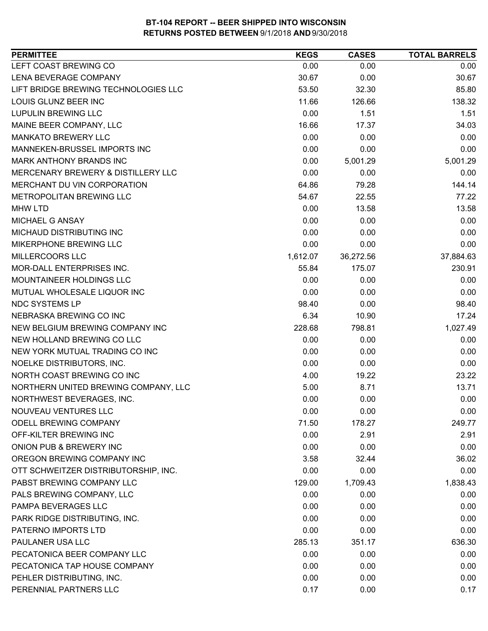| <b>PERMITTEE</b>                     | <b>KEGS</b> | <b>CASES</b> | <b>TOTAL BARRELS</b> |
|--------------------------------------|-------------|--------------|----------------------|
| LEFT COAST BREWING CO                | 0.00        | 0.00         | 0.00                 |
| LENA BEVERAGE COMPANY                | 30.67       | 0.00         | 30.67                |
| LIFT BRIDGE BREWING TECHNOLOGIES LLC | 53.50       | 32.30        | 85.80                |
| LOUIS GLUNZ BEER INC                 | 11.66       | 126.66       | 138.32               |
| <b>LUPULIN BREWING LLC</b>           | 0.00        | 1.51         | 1.51                 |
| MAINE BEER COMPANY, LLC              | 16.66       | 17.37        | 34.03                |
| <b>MANKATO BREWERY LLC</b>           | 0.00        | 0.00         | 0.00                 |
| MANNEKEN-BRUSSEL IMPORTS INC         | 0.00        | 0.00         | 0.00                 |
| MARK ANTHONY BRANDS INC              | 0.00        | 5,001.29     | 5,001.29             |
| MERCENARY BREWERY & DISTILLERY LLC   | 0.00        | 0.00         | 0.00                 |
| MERCHANT DU VIN CORPORATION          | 64.86       | 79.28        | 144.14               |
| METROPOLITAN BREWING LLC             | 54.67       | 22.55        | 77.22                |
| <b>MHW LTD</b>                       | 0.00        | 13.58        | 13.58                |
| MICHAEL G ANSAY                      | 0.00        | 0.00         | 0.00                 |
| MICHAUD DISTRIBUTING INC             | 0.00        | 0.00         | 0.00                 |
| <b>MIKERPHONE BREWING LLC</b>        | 0.00        | 0.00         | 0.00                 |
| MILLERCOORS LLC                      | 1,612.07    | 36,272.56    | 37,884.63            |
| MOR-DALL ENTERPRISES INC.            | 55.84       | 175.07       | 230.91               |
| MOUNTAINEER HOLDINGS LLC             | 0.00        | 0.00         | 0.00                 |
| MUTUAL WHOLESALE LIQUOR INC          | 0.00        | 0.00         | 0.00                 |
| NDC SYSTEMS LP                       | 98.40       | 0.00         | 98.40                |
| NEBRASKA BREWING CO INC              | 6.34        | 10.90        | 17.24                |
| NEW BELGIUM BREWING COMPANY INC      | 228.68      | 798.81       | 1,027.49             |
| NEW HOLLAND BREWING CO LLC           | 0.00        | 0.00         | 0.00                 |
| NEW YORK MUTUAL TRADING CO INC       | 0.00        | 0.00         | 0.00                 |
| NOELKE DISTRIBUTORS, INC.            | 0.00        | 0.00         | 0.00                 |
| NORTH COAST BREWING CO INC           | 4.00        | 19.22        | 23.22                |
| NORTHERN UNITED BREWING COMPANY, LLC | 5.00        | 8.71         | 13.71                |
| NORTHWEST BEVERAGES, INC.            | 0.00        | 0.00         | 0.00                 |
| NOUVEAU VENTURES LLC                 | 0.00        | 0.00         | 0.00                 |
| ODELL BREWING COMPANY                | 71.50       | 178.27       | 249.77               |
| OFF-KILTER BREWING INC               | 0.00        | 2.91         | 2.91                 |
| ONION PUB & BREWERY INC              | 0.00        | 0.00         | 0.00                 |
| OREGON BREWING COMPANY INC           | 3.58        | 32.44        | 36.02                |
| OTT SCHWEITZER DISTRIBUTORSHIP, INC. | 0.00        | 0.00         | 0.00                 |
| PABST BREWING COMPANY LLC            | 129.00      | 1,709.43     | 1,838.43             |
| PALS BREWING COMPANY, LLC            | 0.00        | 0.00         | 0.00                 |
| PAMPA BEVERAGES LLC                  | 0.00        | 0.00         | 0.00                 |
| PARK RIDGE DISTRIBUTING, INC.        | 0.00        | 0.00         | 0.00                 |
| PATERNO IMPORTS LTD                  | 0.00        | 0.00         | 0.00                 |
| PAULANER USA LLC                     | 285.13      | 351.17       | 636.30               |
| PECATONICA BEER COMPANY LLC          | 0.00        | 0.00         | 0.00                 |
| PECATONICA TAP HOUSE COMPANY         | 0.00        | 0.00         | 0.00                 |
| PEHLER DISTRIBUTING, INC.            | 0.00        | 0.00         | 0.00                 |
| PERENNIAL PARTNERS LLC               | 0.17        | 0.00         | 0.17                 |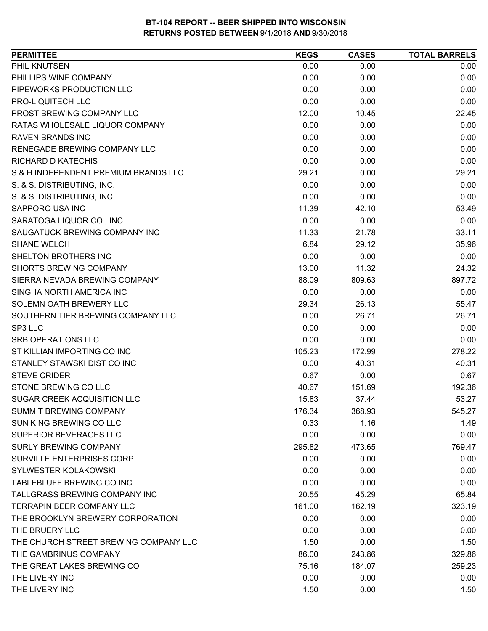| <b>PERMITTEE</b>                      | <b>KEGS</b> | <b>CASES</b> | <b>TOTAL BARRELS</b> |
|---------------------------------------|-------------|--------------|----------------------|
| PHIL KNUTSEN                          | 0.00        | 0.00         | 0.00                 |
| PHILLIPS WINE COMPANY                 | 0.00        | 0.00         | 0.00                 |
| PIPEWORKS PRODUCTION LLC              | 0.00        | 0.00         | 0.00                 |
| PRO-LIQUITECH LLC                     | 0.00        | 0.00         | 0.00                 |
| PROST BREWING COMPANY LLC             | 12.00       | 10.45        | 22.45                |
| RATAS WHOLESALE LIQUOR COMPANY        | 0.00        | 0.00         | 0.00                 |
| <b>RAVEN BRANDS INC</b>               | 0.00        | 0.00         | 0.00                 |
| RENEGADE BREWING COMPANY LLC          | 0.00        | 0.00         | 0.00                 |
| <b>RICHARD D KATECHIS</b>             | 0.00        | 0.00         | 0.00                 |
| S & H INDEPENDENT PREMIUM BRANDS LLC  | 29.21       | 0.00         | 29.21                |
| S. & S. DISTRIBUTING, INC.            | 0.00        | 0.00         | 0.00                 |
| S. & S. DISTRIBUTING, INC.            | 0.00        | 0.00         | 0.00                 |
| SAPPORO USA INC                       | 11.39       | 42.10        | 53.49                |
| SARATOGA LIQUOR CO., INC.             | 0.00        | 0.00         | 0.00                 |
| SAUGATUCK BREWING COMPANY INC         | 11.33       | 21.78        | 33.11                |
| <b>SHANE WELCH</b>                    | 6.84        | 29.12        | 35.96                |
| SHELTON BROTHERS INC                  | 0.00        | 0.00         | 0.00                 |
| <b>SHORTS BREWING COMPANY</b>         | 13.00       | 11.32        | 24.32                |
| SIERRA NEVADA BREWING COMPANY         | 88.09       | 809.63       | 897.72               |
| SINGHA NORTH AMERICA INC              | 0.00        | 0.00         | 0.00                 |
| SOLEMN OATH BREWERY LLC               | 29.34       | 26.13        | 55.47                |
| SOUTHERN TIER BREWING COMPANY LLC     | 0.00        | 26.71        | 26.71                |
| SP3 LLC                               | 0.00        | 0.00         | 0.00                 |
| <b>SRB OPERATIONS LLC</b>             | 0.00        | 0.00         | 0.00                 |
| ST KILLIAN IMPORTING CO INC           | 105.23      | 172.99       | 278.22               |
| STANLEY STAWSKI DIST CO INC           | 0.00        | 40.31        | 40.31                |
| <b>STEVE CRIDER</b>                   | 0.67        | 0.00         | 0.67                 |
| STONE BREWING CO LLC                  | 40.67       | 151.69       | 192.36               |
| SUGAR CREEK ACQUISITION LLC           | 15.83       | 37.44        | 53.27                |
| <b>SUMMIT BREWING COMPANY</b>         | 176.34      | 368.93       | 545.27               |
| SUN KING BREWING CO LLC               | 0.33        | 1.16         | 1.49                 |
| <b>SUPERIOR BEVERAGES LLC</b>         | 0.00        | 0.00         | 0.00                 |
| <b>SURLY BREWING COMPANY</b>          | 295.82      | 473.65       | 769.47               |
| <b>SURVILLE ENTERPRISES CORP</b>      | 0.00        | 0.00         | 0.00                 |
| <b>SYLWESTER KOLAKOWSKI</b>           | 0.00        | 0.00         | 0.00                 |
| TABLEBLUFF BREWING CO INC             | 0.00        | 0.00         | 0.00                 |
| TALLGRASS BREWING COMPANY INC         | 20.55       | 45.29        | 65.84                |
| TERRAPIN BEER COMPANY LLC             | 161.00      | 162.19       | 323.19               |
| THE BROOKLYN BREWERY CORPORATION      | 0.00        | 0.00         | 0.00                 |
| THE BRUERY LLC                        | 0.00        | 0.00         | 0.00                 |
| THE CHURCH STREET BREWING COMPANY LLC | 1.50        | 0.00         | 1.50                 |
| THE GAMBRINUS COMPANY                 | 86.00       | 243.86       | 329.86               |
| THE GREAT LAKES BREWING CO            | 75.16       | 184.07       | 259.23               |
| THE LIVERY INC                        | 0.00        | 0.00         | 0.00                 |
| THE LIVERY INC                        | 1.50        | 0.00         | 1.50                 |
|                                       |             |              |                      |